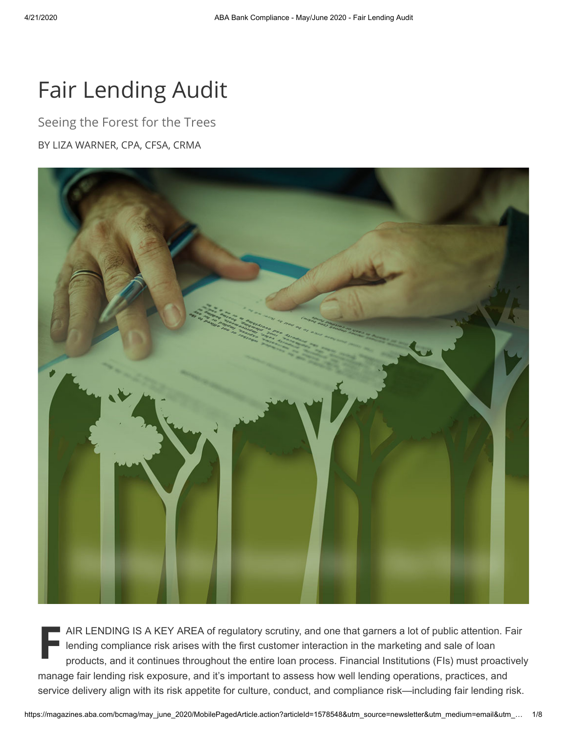# Fair Lending Audit

Seeing the Forest for the Trees BY LIZA WARNER, CPA, CFSA, CRMA



**F**<br>
len<br>
pro AIR LENDING IS A KEY AREA of regulatory scrutiny, and one that garners a lot of public attention. Fair lending compliance risk arises with the first customer interaction in the marketing and sale of loan products, and it continues throughout the entire loan process. Financial Institutions (FIs) must proactively manage fair lending risk exposure, and it's important to assess how well lending operations, practices, and service delivery align with its risk appetite for culture, conduct, and compliance risk—including fair lending risk.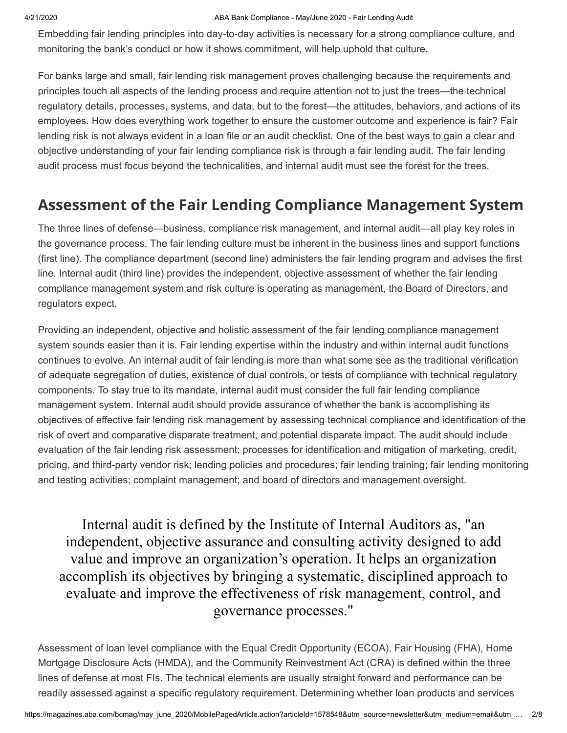#### 4/21/2020 ABA Bank Compliance - May/June 2020 - Fair Lending Audit

Embedding fair lending principles into day-to-day activities is necessary for a strong compliance culture, and monitoring the bank's conduct or how it shows commitment, will help uphold that culture.

For banks large and small, fair lending risk management proves challenging because the requirements and principles touch all aspects of the lending process and require attention not to just the trees—the technical regulatory details, processes, systems, and data, but to the forest—the attitudes, behaviors, and actions of its employees. How does everything work together to ensure the customer outcome and experience is fair? Fair lending risk is not always evident in a loan file or an audit checklist. One of the best ways to gain a clear and objective understanding of your fair lending compliance risk is through a fair lending audit. The fair lending audit process must focus beyond the technicalities, and internal audit must see the forest for the trees.

### **Assessment of the Fair Lending Compliance Management System**

The three lines of defense—business, compliance risk management, and internal audit—all play key roles in the governance process. The fair lending culture must be inherent in the business lines and support functions (first line). The compliance department (second line) administers the fair lending program and advises the first line. Internal audit (third line) provides the independent, objective assessment of whether the fair lending compliance management system and risk culture is operating as management, the Board of Directors, and regulators expect.

Providing an independent, objective and holistic assessment of the fair lending compliance management system sounds easier than it is. Fair lending expertise within the industry and within internal audit functions continues to evolve. An internal audit of fair lending is more than what some see as the traditional verification of adequate segregation of duties, existence of dual controls, or tests of compliance with technical regulatory components. To stay true to its mandate, internal audit must consider the full fair lending compliance management system. Internal audit should provide assurance of whether the bank is accomplishing its objectives of effective fair lending risk management by assessing technical compliance and identification of the risk of overt and comparative disparate treatment, and potential disparate impact. The audit should include evaluation of the fair lending risk assessment; processes for identification and mitigation of marketing, credit, pricing, and third-party vendor risk; lending policies and procedures; fair lending training; fair lending monitoring and testing activities; complaint management; and board of directors and management oversight.

Internal audit is defined by the Institute of Internal Auditors as, "an independent, objective assurance and consulting activity designed to add value and improve an organization's operation. It helps an organization accomplish its objectives by bringing a systematic, disciplined approach to evaluate and improve the effectiveness of risk management, control, and governance processes."

Assessment of loan level compliance with the Equal Credit Opportunity (ECOA), Fair Housing (FHA), Home Mortgage Disclosure Acts (HMDA), and the Community Reinvestment Act (CRA) is defined within the three lines of defense at most FIs. The technical elements are usually straight forward and performance can be readily assessed against a specific regulatory requirement. Determining whether loan products and services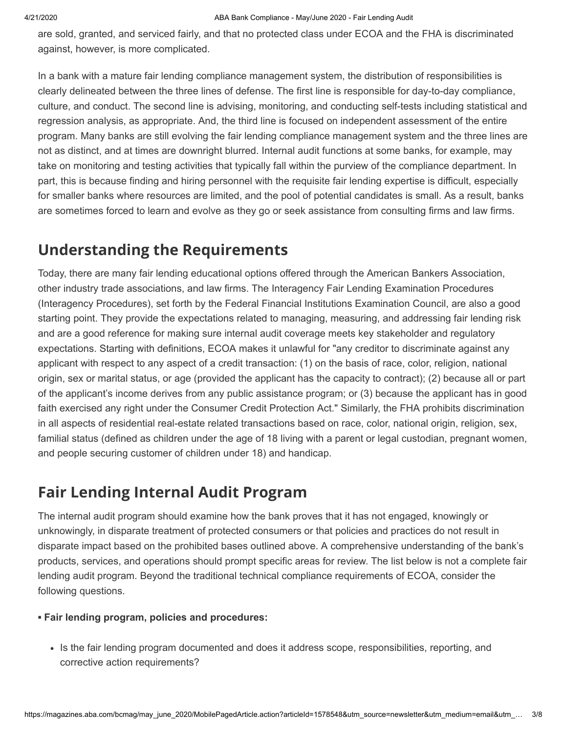are sold, granted, and serviced fairly, and that no protected class under ECOA and the FHA is discriminated against, however, is more complicated.

In a bank with a mature fair lending compliance management system, the distribution of responsibilities is clearly delineated between the three lines of defense. The first line is responsible for day-to-day compliance, culture, and conduct. The second line is advising, monitoring, and conducting self-tests including statistical and regression analysis, as appropriate. And, the third line is focused on independent assessment of the entire program. Many banks are still evolving the fair lending compliance management system and the three lines are not as distinct, and at times are downright blurred. Internal audit functions at some banks, for example, may take on monitoring and testing activities that typically fall within the purview of the compliance department. In part, this is because finding and hiring personnel with the requisite fair lending expertise is difficult, especially for smaller banks where resources are limited, and the pool of potential candidates is small. As a result, banks are sometimes forced to learn and evolve as they go or seek assistance from consulting firms and law firms.

### **Understanding the Requirements**

Today, there are many fair lending educational options offered through the American Bankers Association, other industry trade associations, and law firms. The Interagency Fair Lending Examination Procedures (Interagency Procedures), set forth by the Federal Financial Institutions Examination Council, are also a good starting point. They provide the expectations related to managing, measuring, and addressing fair lending risk and are a good reference for making sure internal audit coverage meets key stakeholder and regulatory expectations. Starting with definitions, ECOA makes it unlawful for "any creditor to discriminate against any applicant with respect to any aspect of a credit transaction: (1) on the basis of race, color, religion, national origin, sex or marital status, or age (provided the applicant has the capacity to contract); (2) because all or part of the applicant's income derives from any public assistance program; or (3) because the applicant has in good faith exercised any right under the Consumer Credit Protection Act." Similarly, the FHA prohibits discrimination in all aspects of residential real-estate related transactions based on race, color, national origin, religion, sex, familial status (defined as children under the age of 18 living with a parent or legal custodian, pregnant women, and people securing customer of children under 18) and handicap.

# **Fair Lending Internal Audit Program**

The internal audit program should examine how the bank proves that it has not engaged, knowingly or unknowingly, in disparate treatment of protected consumers or that policies and practices do not result in disparate impact based on the prohibited bases outlined above. A comprehensive understanding of the bank's products, services, and operations should prompt specific areas for review. The list below is not a complete fair lending audit program. Beyond the traditional technical compliance requirements of ECOA, consider the following questions.

### **▪ Fair lending program, policies and procedures:**

Is the fair lending program documented and does it address scope, responsibilities, reporting, and corrective action requirements?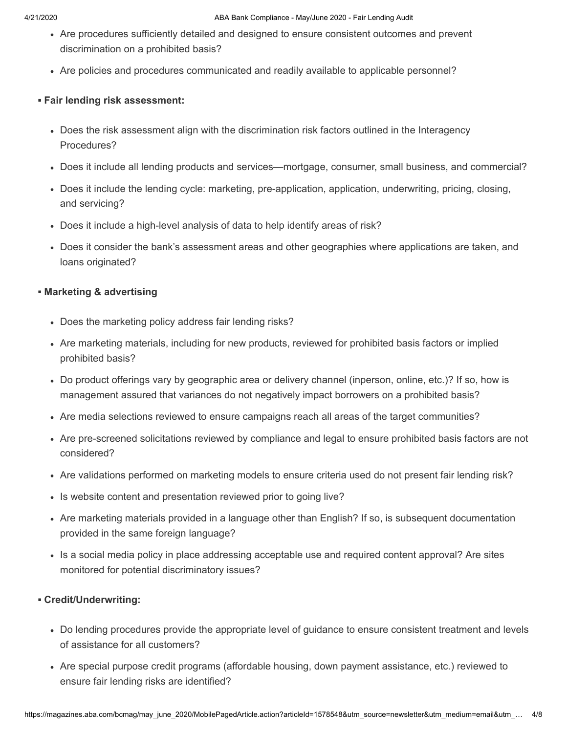- Are procedures sufficiently detailed and designed to ensure consistent outcomes and prevent discrimination on a prohibited basis?
- Are policies and procedures communicated and readily available to applicable personnel?

#### **▪ Fair lending risk assessment:**

- Does the risk assessment align with the discrimination risk factors outlined in the Interagency Procedures?
- Does it include all lending products and services—mortgage, consumer, small business, and commercial?
- Does it include the lending cycle: marketing, pre-application, application, underwriting, pricing, closing, and servicing?
- Does it include a high-level analysis of data to help identify areas of risk?
- Does it consider the bank's assessment areas and other geographies where applications are taken, and loans originated?

#### **▪ Marketing & advertising**

- Does the marketing policy address fair lending risks?
- Are marketing materials, including for new products, reviewed for prohibited basis factors or implied prohibited basis?
- Do product offerings vary by geographic area or delivery channel (inperson, online, etc.)? If so, how is management assured that variances do not negatively impact borrowers on a prohibited basis?
- Are media selections reviewed to ensure campaigns reach all areas of the target communities?
- Are pre-screened solicitations reviewed by compliance and legal to ensure prohibited basis factors are not considered?
- Are validations performed on marketing models to ensure criteria used do not present fair lending risk?
- Is website content and presentation reviewed prior to going live?
- Are marketing materials provided in a language other than English? If so, is subsequent documentation provided in the same foreign language?
- Is a social media policy in place addressing acceptable use and required content approval? Are sites monitored for potential discriminatory issues?

#### **▪ Credit/Underwriting:**

- Do lending procedures provide the appropriate level of guidance to ensure consistent treatment and levels of assistance for all customers?
- Are special purpose credit programs (affordable housing, down payment assistance, etc.) reviewed to ensure fair lending risks are identified?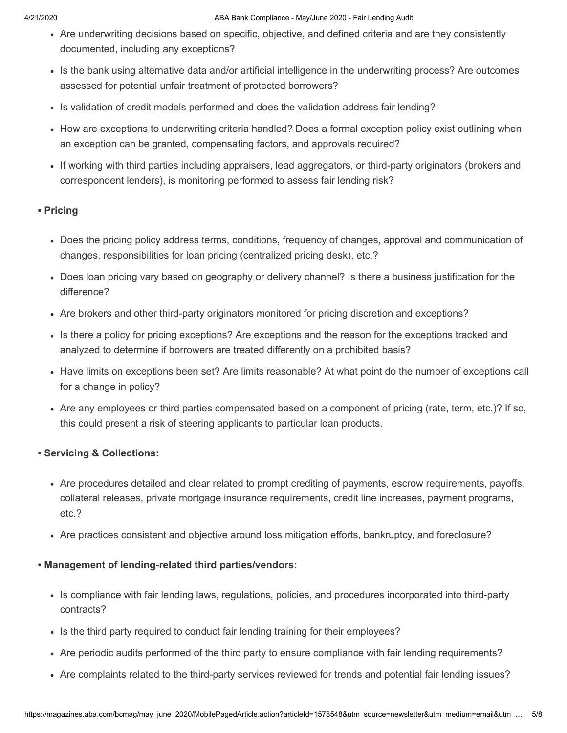- Are underwriting decisions based on specific, objective, and defined criteria and are they consistently documented, including any exceptions?
- Is the bank using alternative data and/or artificial intelligence in the underwriting process? Are outcomes assessed for potential unfair treatment of protected borrowers?
- Is validation of credit models performed and does the validation address fair lending?
- How are exceptions to underwriting criteria handled? Does a formal exception policy exist outlining when an exception can be granted, compensating factors, and approvals required?
- If working with third parties including appraisers, lead aggregators, or third-party originators (brokers and correspondent lenders), is monitoring performed to assess fair lending risk?

#### **▪ Pricing**

- Does the pricing policy address terms, conditions, frequency of changes, approval and communication of changes, responsibilities for loan pricing (centralized pricing desk), etc.?
- Does loan pricing vary based on geography or delivery channel? Is there a business justification for the difference?
- Are brokers and other third-party originators monitored for pricing discretion and exceptions?
- Is there a policy for pricing exceptions? Are exceptions and the reason for the exceptions tracked and analyzed to determine if borrowers are treated differently on a prohibited basis?
- Have limits on exceptions been set? Are limits reasonable? At what point do the number of exceptions call for a change in policy?
- Are any employees or third parties compensated based on a component of pricing (rate, term, etc.)? If so, this could present a risk of steering applicants to particular loan products.

### **▪ Servicing & Collections:**

- Are procedures detailed and clear related to prompt crediting of payments, escrow requirements, payoffs, collateral releases, private mortgage insurance requirements, credit line increases, payment programs, etc.?
- Are practices consistent and objective around loss mitigation efforts, bankruptcy, and foreclosure?

### **▪ Management of lending-related third parties/vendors:**

- Is compliance with fair lending laws, regulations, policies, and procedures incorporated into third-party contracts?
- Is the third party required to conduct fair lending training for their employees?
- Are periodic audits performed of the third party to ensure compliance with fair lending requirements?
- Are complaints related to the third-party services reviewed for trends and potential fair lending issues?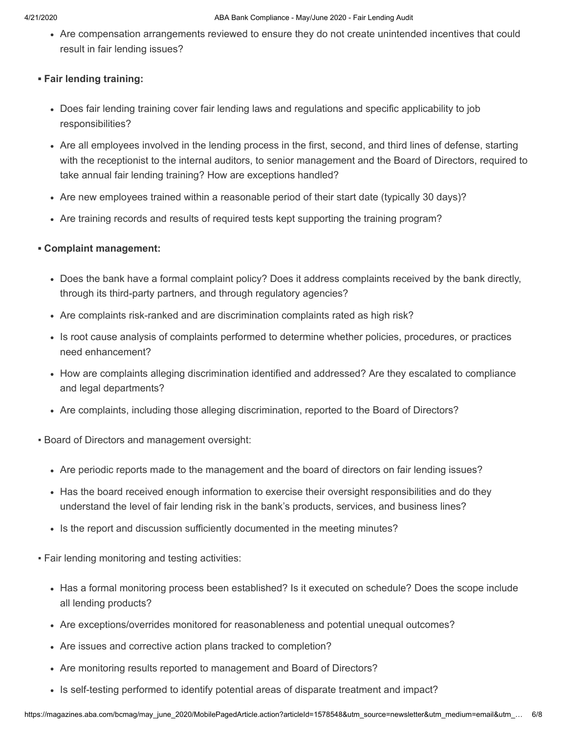Are compensation arrangements reviewed to ensure they do not create unintended incentives that could result in fair lending issues?

#### **▪ Fair lending training:**

- Does fair lending training cover fair lending laws and regulations and specific applicability to job responsibilities?
- Are all employees involved in the lending process in the first, second, and third lines of defense, starting with the receptionist to the internal auditors, to senior management and the Board of Directors, required to take annual fair lending training? How are exceptions handled?
- Are new employees trained within a reasonable period of their start date (typically 30 days)?
- Are training records and results of required tests kept supporting the training program?

### **▪ Complaint management:**

- Does the bank have a formal complaint policy? Does it address complaints received by the bank directly, through its third-party partners, and through regulatory agencies?
- Are complaints risk-ranked and are discrimination complaints rated as high risk?
- Is root cause analysis of complaints performed to determine whether policies, procedures, or practices need enhancement?
- How are complaints alleging discrimination identified and addressed? Are they escalated to compliance and legal departments?
- Are complaints, including those alleging discrimination, reported to the Board of Directors?
- Board of Directors and management oversight:
	- Are periodic reports made to the management and the board of directors on fair lending issues?
	- Has the board received enough information to exercise their oversight responsibilities and do they understand the level of fair lending risk in the bank's products, services, and business lines?
	- Is the report and discussion sufficiently documented in the meeting minutes?
- Fair lending monitoring and testing activities:
	- Has a formal monitoring process been established? Is it executed on schedule? Does the scope include all lending products?
	- Are exceptions/overrides monitored for reasonableness and potential unequal outcomes?
	- Are issues and corrective action plans tracked to completion?
	- Are monitoring results reported to management and Board of Directors?
	- Is self-testing performed to identify potential areas of disparate treatment and impact?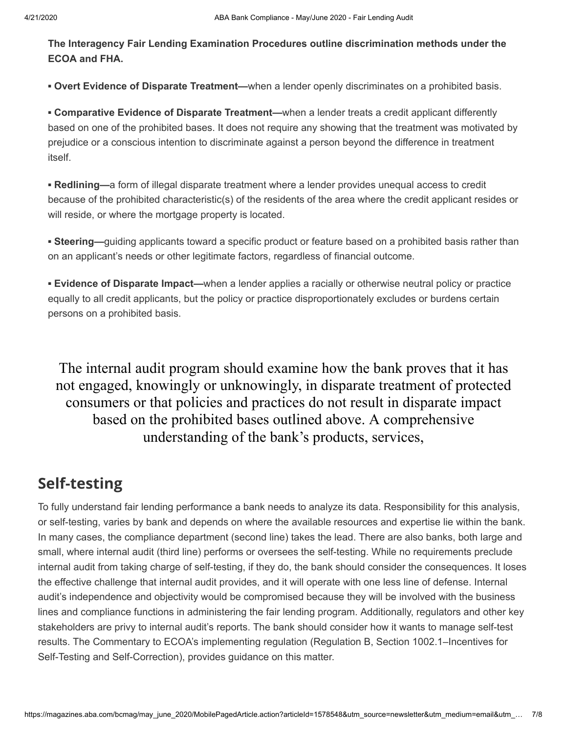**The Interagency Fair Lending Examination Procedures outline discrimination methods under the ECOA and FHA.**

**▪ Overt Evidence of Disparate Treatment—**when a lender openly discriminates on a prohibited basis.

**▪ Comparative Evidence of Disparate Treatment—**when a lender treats a credit applicant differently based on one of the prohibited bases. It does not require any showing that the treatment was motivated by prejudice or a conscious intention to discriminate against a person beyond the difference in treatment itself.

**▪ Redlining—**a form of illegal disparate treatment where a lender provides unequal access to credit because of the prohibited characteristic(s) of the residents of the area where the credit applicant resides or will reside, or where the mortgage property is located.

**▪ Steering—**guiding applicants toward a specific product or feature based on a prohibited basis rather than on an applicant's needs or other legitimate factors, regardless of financial outcome.

**▪ Evidence of Disparate Impact—**when a lender applies a racially or otherwise neutral policy or practice equally to all credit applicants, but the policy or practice disproportionately excludes or burdens certain persons on a prohibited basis.

The internal audit program should examine how the bank proves that it has not engaged, knowingly or unknowingly, in disparate treatment of protected consumers or that policies and practices do not result in disparate impact based on the prohibited bases outlined above. A comprehensive understanding of the bank's products, services,

# **Self-testing**

To fully understand fair lending performance a bank needs to analyze its data. Responsibility for this analysis, or self-testing, varies by bank and depends on where the available resources and expertise lie within the bank. In many cases, the compliance department (second line) takes the lead. There are also banks, both large and small, where internal audit (third line) performs or oversees the self-testing. While no requirements preclude internal audit from taking charge of self-testing, if they do, the bank should consider the consequences. It loses the effective challenge that internal audit provides, and it will operate with one less line of defense. Internal audit's independence and objectivity would be compromised because they will be involved with the business lines and compliance functions in administering the fair lending program. Additionally, regulators and other key stakeholders are privy to internal audit's reports. The bank should consider how it wants to manage self-test results. The Commentary to ECOA's implementing regulation (Regulation B, Section 1002.1–Incentives for Self-Testing and Self-Correction), provides guidance on this matter.